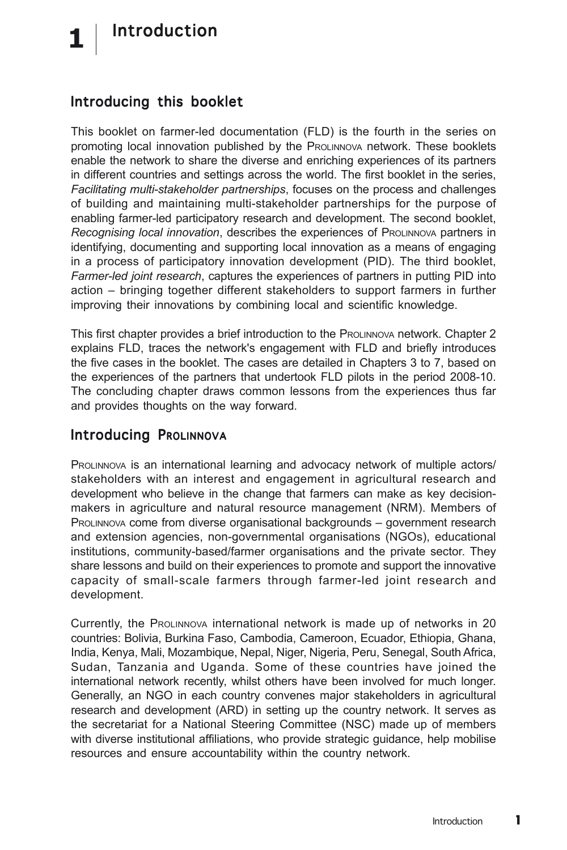## Introducing this booklet

This booklet on farmer-led documentation (FLD) is the fourth in the series on promoting local innovation published by the PROLINNOVA network. These booklets enable the network to share the diverse and enriching experiences of its partners in different countries and settings across the world. The first booklet in the series, *Facilitating multi-stakeholder partnerships*, focuses on the process and challenges of building and maintaining multi-stakeholder partnerships for the purpose of enabling farmer-led participatory research and development. The second booklet, *Recognising local innovation*, describes the experiences of PROLINNOVA partners in identifying, documenting and supporting local innovation as a means of engaging in a process of participatory innovation development (PID). The third booklet, *Farmer-led joint research*, captures the experiences of partners in putting PID into action – bringing together different stakeholders to support farmers in further improving their innovations by combining local and scientific knowledge.

This first chapter provides a brief introduction to the PROLINNOVA network. Chapter 2 explains FLD, traces the network's engagement with FLD and briefly introduces the five cases in the booklet. The cases are detailed in Chapters 3 to 7, based on the experiences of the partners that undertook FLD pilots in the period 2008-10. The concluding chapter draws common lessons from the experiences thus far and provides thoughts on the way forward.

## Introducing PROLINNOVA

PROLINNOVA is an international learning and advocacy network of multiple actors/ stakeholders with an interest and engagement in agricultural research and development who believe in the change that farmers can make as key decisionmakers in agriculture and natural resource management (NRM). Members of PROLINNOVA come from diverse organisational backgrounds – government research and extension agencies, non-governmental organisations (NGOs), educational institutions, community-based/farmer organisations and the private sector. They share lessons and build on their experiences to promote and support the innovative capacity of small-scale farmers through farmer-led joint research and development.

Currently, the PROLINNOVA international network is made up of networks in 20 countries: Bolivia, Burkina Faso, Cambodia, Cameroon, Ecuador, Ethiopia, Ghana, India, Kenya, Mali, Mozambique, Nepal, Niger, Nigeria, Peru, Senegal, South Africa, Sudan, Tanzania and Uganda. Some of these countries have joined the international network recently, whilst others have been involved for much longer. Generally, an NGO in each country convenes major stakeholders in agricultural research and development (ARD) in setting up the country network. It serves as the secretariat for a National Steering Committee (NSC) made up of members with diverse institutional affiliations, who provide strategic guidance, help mobilise resources and ensure accountability within the country network.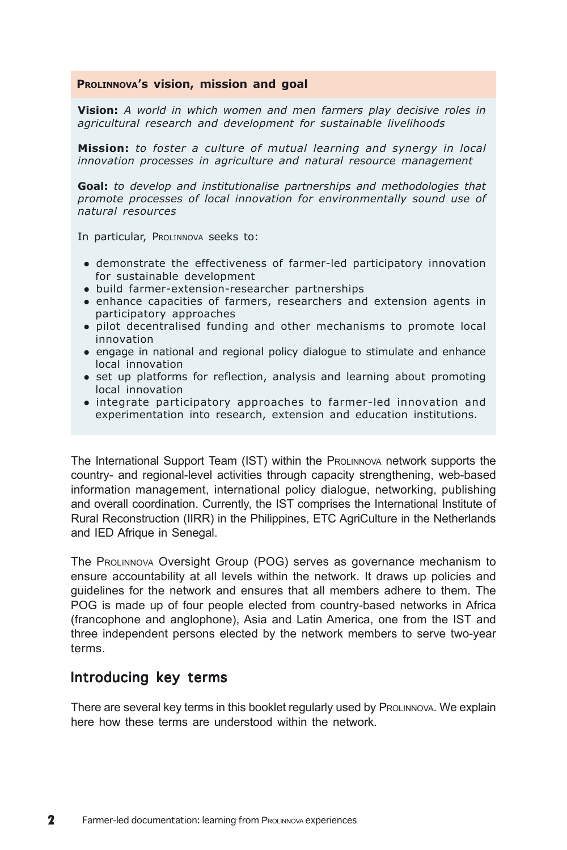## **PROLINNOVA's vision, mission and goal**

**Vision:** *A world in which women and men farmers play decisive roles in agricultural research and development for sustainable livelihoods*

**Mission:** *to foster a culture of mutual learning and synergy in local innovation processes in agriculture and natural resource management*

**Goal:** *to develop and institutionalise partnerships and methodologies that promote processes of local innovation for environmentally sound use of natural resources*

In particular, PROLINNOVA seeks to:

- demonstrate the effectiveness of farmer-led participatory innovation for sustainable development
- build farmer-extension-researcher partnerships
- enhance capacities of farmers, researchers and extension agents in participatory approaches
- pilot decentralised funding and other mechanisms to promote local innovation
- engage in national and regional policy dialogue to stimulate and enhance local innovation
- set up platforms for reflection, analysis and learning about promoting local innovation
- integrate participatory approaches to farmer-led innovation and experimentation into research, extension and education institutions.

The International Support Team (IST) within the PROLINNOVA network supports the country- and regional-level activities through capacity strengthening, web-based information management, international policy dialogue, networking, publishing and overall coordination. Currently, the IST comprises the International Institute of Rural Reconstruction (IIRR) in the Philippines, ETC AgriCulture in the Netherlands and IED Afrique in Senegal.

The PROLINNOVA Oversight Group (POG) serves as governance mechanism to ensure accountability at all levels within the network. It draws up policies and guidelines for the network and ensures that all members adhere to them. The POG is made up of four people elected from country-based networks in Africa (francophone and anglophone), Asia and Latin America, one from the IST and three independent persons elected by the network members to serve two-year terms.

## Introducing key terms

There are several key terms in this booklet regularly used by ProLINNOVA. We explain here how these terms are understood within the network.